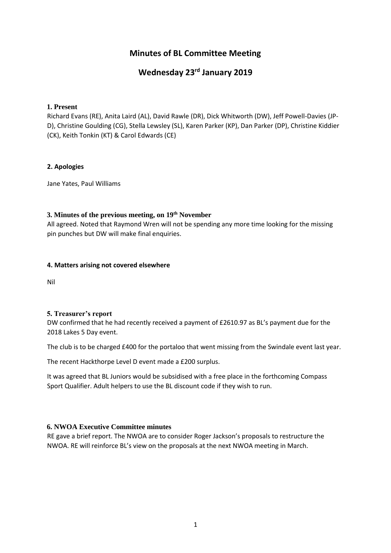## **Minutes of BL Committee Meeting**

## **Wednesday 23rd January 2019**

#### **1. Present**

Richard Evans (RE), Anita Laird (AL), David Rawle (DR), Dick Whitworth (DW), Jeff Powell-Davies (JP-D), Christine Goulding (CG), Stella Lewsley (SL), Karen Parker (KP), Dan Parker (DP), Christine Kiddier (CK), Keith Tonkin (KT) & Carol Edwards (CE)

#### **2. Apologies**

Jane Yates, Paul Williams

## **3. Minutes of the previous meeting, on 19th November**

All agreed. Noted that Raymond Wren will not be spending any more time looking for the missing pin punches but DW will make final enquiries.

#### **4. Matters arising not covered elsewhere**

Nil

#### **5. Treasurer's report**

DW confirmed that he had recently received a payment of £2610.97 as BL's payment due for the 2018 Lakes 5 Day event.

The club is to be charged £400 for the portaloo that went missing from the Swindale event last year.

The recent Hackthorpe Level D event made a £200 surplus.

It was agreed that BL Juniors would be subsidised with a free place in the forthcoming Compass Sport Qualifier. Adult helpers to use the BL discount code if they wish to run.

#### **6. NWOA Executive Committee minutes**

RE gave a brief report. The NWOA are to consider Roger Jackson's proposals to restructure the NWOA. RE will reinforce BL's view on the proposals at the next NWOA meeting in March.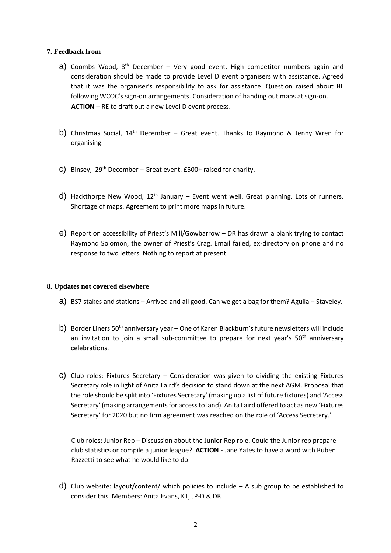#### **7. Feedback from**

- a) Coombs Wood,  $8<sup>th</sup>$  December Very good event. High competitor numbers again and consideration should be made to provide Level D event organisers with assistance. Agreed that it was the organiser's responsibility to ask for assistance. Question raised about BL following WCOC's sign-on arrangements. Consideration of handing out maps at sign-on. **ACTION** – RE to draft out a new Level D event process.
- b) Christmas Social,  $14<sup>th</sup>$  December Great event. Thanks to Raymond & Jenny Wren for organising.
- c) Binsey,  $29^{th}$  December Great event. £500+ raised for charity.
- d) Hackthorpe New Wood,  $12<sup>th</sup>$  January Event went well. Great planning. Lots of runners. Shortage of maps. Agreement to print more maps in future.
- e) Report on accessibility of Priest's Mill/Gowbarrow DR has drawn a blank trying to contact Raymond Solomon, the owner of Priest's Crag. Email failed, ex-directory on phone and no response to two letters. Nothing to report at present.

#### **8. Updates not covered elsewhere**

- a) BS7 stakes and stations Arrived and all good. Can we get a bag for them? Aguila Staveley.
- b) Border Liners 50<sup>th</sup> anniversary year One of Karen Blackburn's future newsletters will include an invitation to join a small sub-committee to prepare for next year's  $50<sup>th</sup>$  anniversary celebrations.
- c) Club roles: Fixtures Secretary Consideration was given to dividing the existing Fixtures Secretary role in light of Anita Laird's decision to stand down at the next AGM. Proposal that the role should be split into 'Fixtures Secretary' (making up a list of future fixtures) and 'Access Secretary' (making arrangements for access to land). Anita Laird offered to act as new 'Fixtures Secretary' for 2020 but no firm agreement was reached on the role of 'Access Secretary.'

Club roles: Junior Rep – Discussion about the Junior Rep role. Could the Junior rep prepare club statistics or compile a junior league? **ACTION -** Jane Yates to have a word with Ruben Razzetti to see what he would like to do.

d) Club website: layout/content/ which policies to include – A sub group to be established to consider this. Members: Anita Evans, KT, JP-D & DR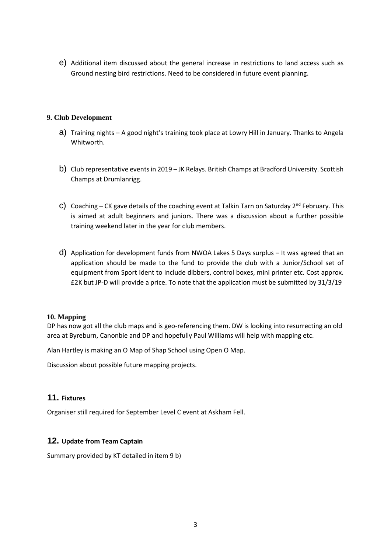e) Additional item discussed about the general increase in restrictions to land access such as Ground nesting bird restrictions. Need to be considered in future event planning.

#### **9. Club Development**

- a) Training nights A good night's training took place at Lowry Hill in January. Thanks to Angela Whitworth.
- b) Club representative events in 2019 JK Relays. British Champs at Bradford University. Scottish Champs at Drumlanrigg.
- c) Coaching CK gave details of the coaching event at Talkin Tarn on Saturday  $2^{nd}$  February. This is aimed at adult beginners and juniors. There was a discussion about a further possible training weekend later in the year for club members.
- d) Application for development funds from NWOA Lakes 5 Days surplus It was agreed that an application should be made to the fund to provide the club with a Junior/School set of equipment from Sport Ident to include dibbers, control boxes, mini printer etc. Cost approx. £2K but JP-D will provide a price. To note that the application must be submitted by 31/3/19

#### **10. Mapping**

DP has now got all the club maps and is geo-referencing them. DW is looking into resurrecting an old area at Byreburn, Canonbie and DP and hopefully Paul Williams will help with mapping etc.

Alan Hartley is making an O Map of Shap School using Open O Map.

Discussion about possible future mapping projects.

#### **11. Fixtures**

Organiser still required for September Level C event at Askham Fell.

#### **12. Update from Team Captain**

Summary provided by KT detailed in item 9 b)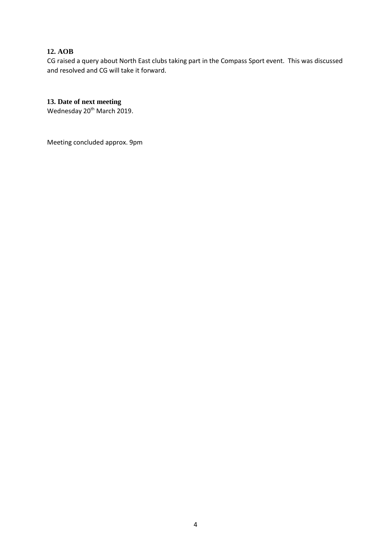## **12. AOB**

CG raised a query about North East clubs taking part in the Compass Sport event. This was discussed and resolved and CG will take it forward.

## **13. Date of next meeting**

Wednesday 20<sup>th</sup> March 2019.

Meeting concluded approx. 9pm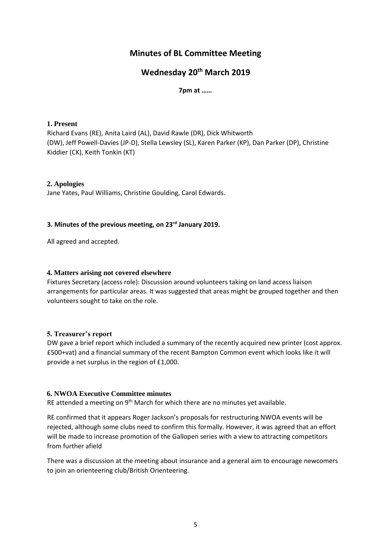## **Minutes of BL Committee Meeting**

## **Wednesday 20th March 2019**

#### **7pm at ……**

#### **1. Present**

Richard Evans (RE), Anita Laird (AL), David Rawle (DR), Dick Whitworth (DW), Jeff Powell-Davies (JP-D), Stella Lewsley (SL), Karen Parker (KP), Dan Parker (DP), Christine Kiddier (CK), Keith Tonkin (KT)

#### **2. Apologies**

Jane Yates, Paul Williams, Christine Goulding, Carol Edwards.

#### **3. Minutes of the previous meeting, on 23rd January 2019.**

All agreed and accepted.

#### **4. Matters arising not covered elsewhere**

Fixtures Secretary (access role): Discussion around volunteers taking on land access liaison arrangements for particular areas. It was suggested that areas might be grouped together and then volunteers sought to take on the role.

#### **5. Treasurer's report**

DW gave a brief report which included a summary of the recently acquired new printer (cost approx. £500+vat) and a financial summary of the recent Bampton Common event which looks like it will provide a net surplus in the region of £1,000.

#### **6. NWOA Executive Committee minutes**

RE attended a meeting on 9<sup>th</sup> March for which there are no minutes yet available.

RE confirmed that it appears Roger Jackson's proposals for restructuring NWOA events will be rejected, although some clubs need to confirm this formally. However, it was agreed that an effort will be made to increase promotion of the Gallopen series with a view to attracting competitors from further afield

There was a discussion at the meeting about insurance and a general aim to encourage newcomers to join an orienteering club/British Orienteering.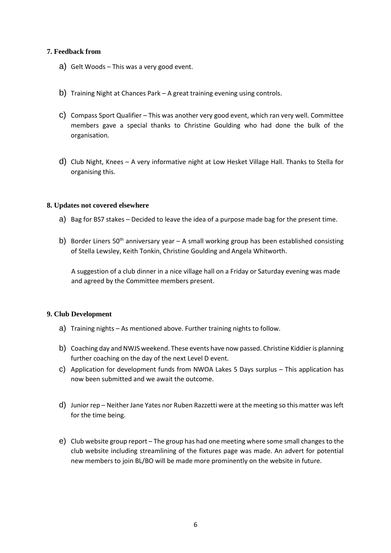#### **7. Feedback from**

- a) Gelt Woods This was a very good event.
- b) Training Night at Chances Park A great training evening using controls.
- c) Compass Sport Qualifier This was another very good event, which ran very well. Committee members gave a special thanks to Christine Goulding who had done the bulk of the organisation.
- d) Club Night, Knees A very informative night at Low Hesket Village Hall. Thanks to Stella for organising this.

#### **8. Updates not covered elsewhere**

- a) Bag for BS7 stakes Decided to leave the idea of a purpose made bag for the present time.
- b) Border Liners 50<sup>th</sup> anniversary year A small working group has been established consisting of Stella Lewsley, Keith Tonkin, Christine Goulding and Angela Whitworth.

A suggestion of a club dinner in a nice village hall on a Friday or Saturday evening was made and agreed by the Committee members present.

#### **9. Club Development**

- a) Training nights As mentioned above. Further training nights to follow.
- b) Coaching day and NWJS weekend. These events have now passed. Christine Kiddier is planning further coaching on the day of the next Level D event.
- c) Application for development funds from NWOA Lakes 5 Days surplus This application has now been submitted and we await the outcome.
- d) Junior rep Neither Jane Yates nor Ruben Razzetti were at the meeting so this matter was left for the time being.
- e) Club website group report The group has had one meeting where some small changes to the club website including streamlining of the fixtures page was made. An advert for potential new members to join BL/BO will be made more prominently on the website in future.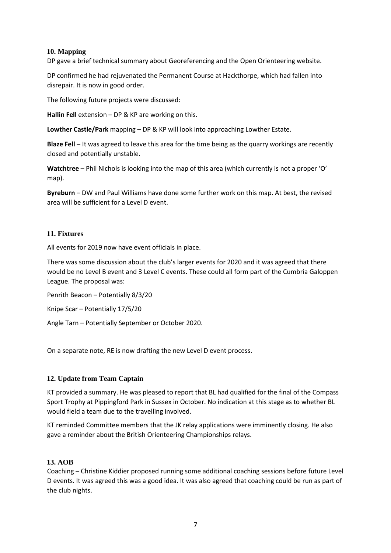#### **10. Mapping**

DP gave a brief technical summary about Georeferencing and the Open Orienteering website.

DP confirmed he had rejuvenated the Permanent Course at Hackthorpe, which had fallen into disrepair. It is now in good order.

The following future projects were discussed:

**Hallin Fell** extension – DP & KP are working on this.

**Lowther Castle/Park** mapping – DP & KP will look into approaching Lowther Estate.

**Blaze Fell** – It was agreed to leave this area for the time being as the quarry workings are recently closed and potentially unstable.

**Watchtree** – Phil Nichols is looking into the map of this area (which currently is not a proper 'O' map).

**Byreburn** – DW and Paul Williams have done some further work on this map. At best, the revised area will be sufficient for a Level D event.

#### **11. Fixtures**

All events for 2019 now have event officials in place.

There was some discussion about the club's larger events for 2020 and it was agreed that there would be no Level B event and 3 Level C events. These could all form part of the Cumbria Galoppen League. The proposal was:

Penrith Beacon – Potentially 8/3/20

Knipe Scar – Potentially 17/5/20

Angle Tarn – Potentially September or October 2020.

On a separate note, RE is now drafting the new Level D event process.

#### **12. Update from Team Captain**

KT provided a summary. He was pleased to report that BL had qualified for the final of the Compass Sport Trophy at Pippingford Park in Sussex in October. No indication at this stage as to whether BL would field a team due to the travelling involved.

KT reminded Committee members that the JK relay applications were imminently closing. He also gave a reminder about the British Orienteering Championships relays.

#### **13. AOB**

Coaching – Christine Kiddier proposed running some additional coaching sessions before future Level D events. It was agreed this was a good idea. It was also agreed that coaching could be run as part of the club nights.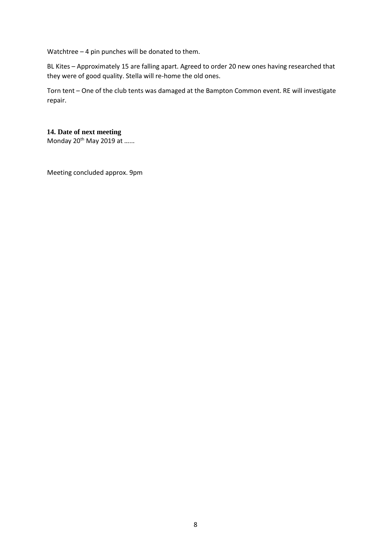Watchtree – 4 pin punches will be donated to them.

BL Kites – Approximately 15 are falling apart. Agreed to order 20 new ones having researched that they were of good quality. Stella will re-home the old ones.

Torn tent – One of the club tents was damaged at the Bampton Common event. RE will investigate repair.

## **14. Date of next meeting**

Monday 20<sup>th</sup> May 2019 at ......

Meeting concluded approx. 9pm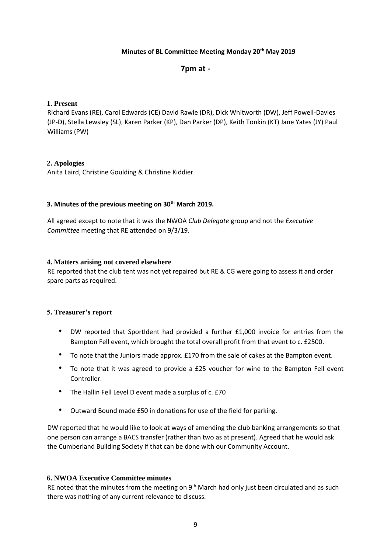#### **Minutes of BL Committee Meeting Monday 20th May 2019**

#### **7pm at -**

#### **1. Present**

Richard Evans (RE), Carol Edwards (CE) David Rawle (DR), Dick Whitworth (DW), Jeff Powell-Davies (JP-D), Stella Lewsley (SL), Karen Parker (KP), Dan Parker (DP), Keith Tonkin (KT) Jane Yates (JY) Paul Williams (PW)

#### **2. Apologies**

Anita Laird, Christine Goulding & Christine Kiddier

#### **3. Minutes of the previous meeting on 30th March 2019.**

All agreed except to note that it was the NWOA *Club Delegate* group and not the *Executive Committee* meeting that RE attended on 9/3/19.

#### **4. Matters arising not covered elsewhere**

RE reported that the club tent was not yet repaired but RE & CG were going to assess it and order spare parts as required.

#### **5. Treasurer's report**

- DW reported that SportIdent had provided a further £1,000 invoice for entries from the Bampton Fell event, which brought the total overall profit from that event to c. £2500.
- To note that the Juniors made approx. £170 from the sale of cakes at the Bampton event.
- To note that it was agreed to provide a £25 voucher for wine to the Bampton Fell event Controller.
- The Hallin Fell Level D event made a surplus of c. £70
- Outward Bound made £50 in donations for use of the field for parking.

DW reported that he would like to look at ways of amending the club banking arrangements so that one person can arrange a BACS transfer (rather than two as at present). Agreed that he would ask the Cumberland Building Society if that can be done with our Community Account.

#### **6. NWOA Executive Committee minutes**

RE noted that the minutes from the meeting on 9<sup>th</sup> March had only just been circulated and as such there was nothing of any current relevance to discuss.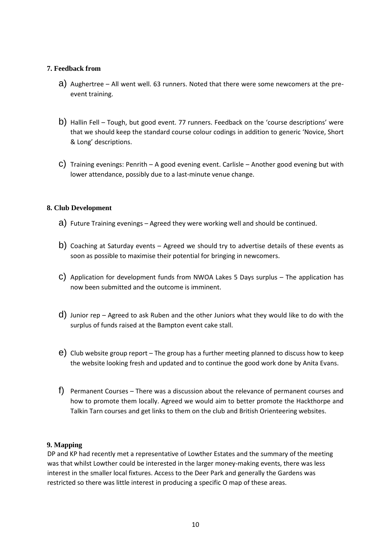#### **7. Feedback from**

- a) Aughertree All went well. 63 runners. Noted that there were some newcomers at the preevent training.
- b) Hallin Fell Tough, but good event. 77 runners. Feedback on the 'course descriptions' were that we should keep the standard course colour codings in addition to generic 'Novice, Short & Long' descriptions.
- C) Training evenings: Penrith A good evening event. Carlisle Another good evening but with lower attendance, possibly due to a last-minute venue change.

#### **8. Club Development**

- a) Future Training evenings Agreed they were working well and should be continued.
- b) Coaching at Saturday events Agreed we should try to advertise details of these events as soon as possible to maximise their potential for bringing in newcomers.
- c) Application for development funds from NWOA Lakes 5 Days surplus The application has now been submitted and the outcome is imminent.
- d) Junior rep Agreed to ask Ruben and the other Juniors what they would like to do with the surplus of funds raised at the Bampton event cake stall.
- e) Club website group report The group has a further meeting planned to discuss how to keep the website looking fresh and updated and to continue the good work done by Anita Evans.
- f) Permanent Courses There was a discussion about the relevance of permanent courses and how to promote them locally. Agreed we would aim to better promote the Hackthorpe and Talkin Tarn courses and get links to them on the club and British Orienteering websites.

#### **9. Mapping**

DP and KP had recently met a representative of Lowther Estates and the summary of the meeting was that whilst Lowther could be interested in the larger money-making events, there was less interest in the smaller local fixtures. Access to the Deer Park and generally the Gardens was restricted so there was little interest in producing a specific O map of these areas.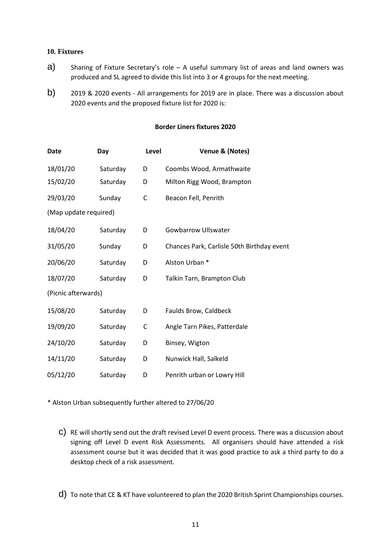#### **10. Fixtures**

- $a)$  Sharing of Fixture Secretary's role A useful summary list of areas and land owners was produced and SL agreed to divide this list into 3 or 4 groups for the next meeting.
- b) 2019 & 2020 events All arrangements for 2019 are in place. There was a discussion about 2020 events and the proposed fixture list for 2020 is:

#### **Border Liners fixtures 2020**

| Date                  | Day      | Level        | Venue & (Notes)                            |
|-----------------------|----------|--------------|--------------------------------------------|
| 18/01/20              | Saturday | D            | Coombs Wood, Armathwaite                   |
| 15/02/20              | Saturday | D            | Milton Rigg Wood, Brampton                 |
| 29/03/20              | Sunday   | $\mathsf{C}$ | Beacon Fell, Penrith                       |
| (Map update required) |          |              |                                            |
| 18/04/20              | Saturday | D            | <b>Gowbarrow Ullswater</b>                 |
| 31/05/20              | Sunday   | D            | Chances Park, Carlisle 50th Birthday event |
| 20/06/20              | Saturday | D            | Alston Urban *                             |
| 18/07/20              | Saturday | D            | Talkin Tarn, Brampton Club                 |
| (Picnic afterwards)   |          |              |                                            |
| 15/08/20              | Saturday | D            | <b>Faulds Brow, Caldbeck</b>               |
| 19/09/20              | Saturday | C            | Angle Tarn Pikes, Patterdale               |
| 24/10/20              | Saturday | D            | Binsey, Wigton                             |
| 14/11/20              | Saturday | D            | Nunwick Hall, Salkeld                      |
| 05/12/20              | Saturday | D            | Penrith urban or Lowry Hill                |

\* Alston Urban subsequently further altered to 27/06/20

- c) RE will shortly send out the draft revised Level D event process. There was a discussion about signing off Level D event Risk Assessments. All organisers should have attended a risk assessment course but it was decided that it was good practice to ask a third party to do a desktop check of a risk assessment.
- d) To note that CE & KT have volunteered to plan the 2020 British Sprint Championships courses.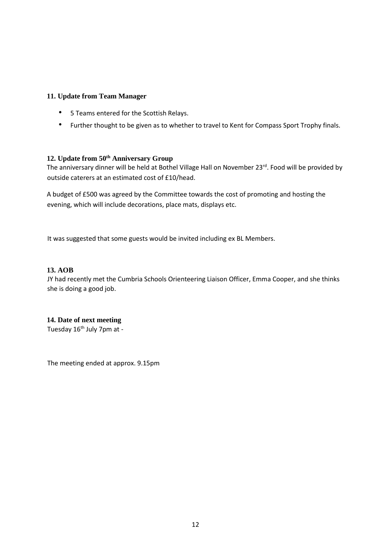#### **11. Update from Team Manager**

- 5 Teams entered for the Scottish Relays.
- Further thought to be given as to whether to travel to Kent for Compass Sport Trophy finals.

## **12. Update from 50th Anniversary Group**

The anniversary dinner will be held at Bothel Village Hall on November 23<sup>rd</sup>. Food will be provided by outside caterers at an estimated cost of £10/head.

A budget of £500 was agreed by the Committee towards the cost of promoting and hosting the evening, which will include decorations, place mats, displays etc.

It was suggested that some guests would be invited including ex BL Members.

#### **13. AOB**

JY had recently met the Cumbria Schools Orienteering Liaison Officer, Emma Cooper, and she thinks she is doing a good job.

#### **14. Date of next meeting**

Tuesday 16<sup>th</sup> July 7pm at -

The meeting ended at approx. 9.15pm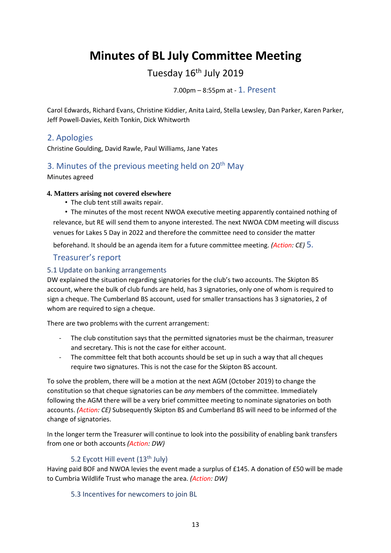# **Minutes of BL July Committee Meeting**

## Tuesday 16<sup>th</sup> July 2019

7.00pm – 8:55pm at - 1. Present

Carol Edwards, Richard Evans, Christine Kiddier, Anita Laird, Stella Lewsley, Dan Parker, Karen Parker, Jeff Powell-Davies, Keith Tonkin, Dick Whitworth

## 2. Apologies

Christine Goulding, David Rawle, Paul Williams, Jane Yates

## 3. Minutes of the previous meeting held on  $20<sup>th</sup>$  May

Minutes agreed

#### **4. Matters arising not covered elsewhere**

• The club tent still awaits repair.

• The minutes of the most recent NWOA executive meeting apparently contained nothing of relevance, but RE will send them to anyone interested. The next NWOA CDM meeting will discuss venues for Lakes 5 Day in 2022 and therefore the committee need to consider the matter

beforehand. It should be an agenda item for a future committee meeting. *(Action: CE)* 5.

## Treasurer's report

## 5.1 Update on banking arrangements

DW explained the situation regarding signatories for the club's two accounts. The Skipton BS account, where the bulk of club funds are held, has 3 signatories, only one of whom is required to sign a cheque. The Cumberland BS account, used for smaller transactions has 3 signatories, 2 of whom are required to sign a cheque.

There are two problems with the current arrangement:

- The club constitution says that the permitted signatories must be the chairman, treasurer and secretary. This is not the case for either account.
- The committee felt that both accounts should be set up in such a way that all cheques require two signatures. This is not the case for the Skipton BS account.

To solve the problem, there will be a motion at the next AGM (October 2019) to change the constitution so that cheque signatories can be *any* members of the committee. Immediately following the AGM there will be a very brief committee meeting to nominate signatories on both accounts. *(Action: CE)* Subsequently Skipton BS and Cumberland BS will need to be informed of the change of signatories.

In the longer term the Treasurer will continue to look into the possibility of enabling bank transfers from one or both accounts *(Action: DW)*

## 5.2 Eycott Hill event (13<sup>th</sup> July)

Having paid BOF and NWOA levies the event made a surplus of £145. A donation of £50 will be made to Cumbria Wildlife Trust who manage the area. *(Action: DW)*

#### 5.3 Incentives for newcomers to join BL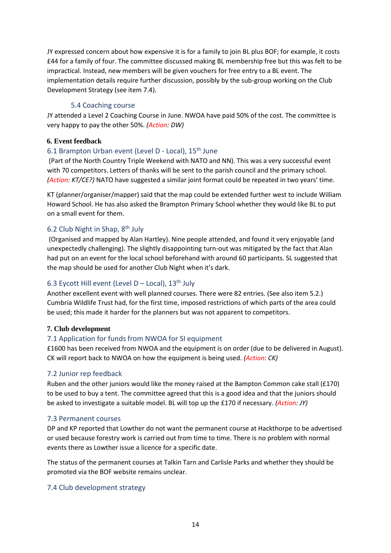JY expressed concern about how expensive it is for a family to join BL plus BOF; for example, it costs £44 for a family of four. The committee discussed making BL membership free but this was felt to be impractical. Instead, new members will be given vouchers for free entry to a BL event. The implementation details require further discussion, possibly by the sub-group working on the Club Development Strategy (see item 7.4).

#### 5.4 Coaching course

JY attended a Level 2 Coaching Course in June. NWOA have paid 50% of the cost. The committee is very happy to pay the other 50%. *(Action: DW)*

#### **6. Event feedback**

#### 6.1 Brampton Urban event (Level D - Local), 15<sup>th</sup> June

(Part of the North Country Triple Weekend with NATO and NN). This was a very successful event with 70 competitors. Letters of thanks will be sent to the parish council and the primary school. *(Action: KT/CE?)* NATO have suggested a similar joint format could be repeated in two years' time.

KT (planner/organiser/mapper) said that the map could be extended further west to include William Howard School. He has also asked the Brampton Primary School whether they would like BL to put on a small event for them.

#### 6.2 Club Night in Shap, 8th July

(Organised and mapped by Alan Hartley). Nine people attended, and found it very enjoyable (and unexpectedly challenging). The slightly disappointing turn-out was mitigated by the fact that Alan had put on an event for the local school beforehand with around 60 participants. SL suggested that the map should be used for another Club Night when it's dark.

## 6.3 Eycott Hill event (Level D – Local),  $13<sup>th</sup>$  July

Another excellent event with well planned courses. There were 82 entries. (See also item 5.2.) Cumbria Wildlife Trust had, for the first time, imposed restrictions of which parts of the area could be used; this made it harder for the planners but was not apparent to competitors.

#### **7. Club development**

#### 7.1 Application for funds from NWOA for SI equipment

£1600 has been received from NWOA and the equipment is on order (due to be delivered in August). CK will report back to NWOA on how the equipment is being used. *(Action: CK)*

#### 7.2 Junior rep feedback

Ruben and the other juniors would like the money raised at the Bampton Common cake stall (£170) to be used to buy a tent. The committee agreed that this is a good idea and that the juniors should be asked to investigate a suitable model. BL will top up the £170 if necessary. *(Action: JY)*

#### 7.3 Permanent courses

DP and KP reported that Lowther do not want the permanent course at Hackthorpe to be advertised or used because forestry work is carried out from time to time. There is no problem with normal events there as Lowther issue a licence for a specific date.

The status of the permanent courses at Talkin Tarn and Carlisle Parks and whether they should be promoted via the BOF website remains unclear.

#### 7.4 Club development strategy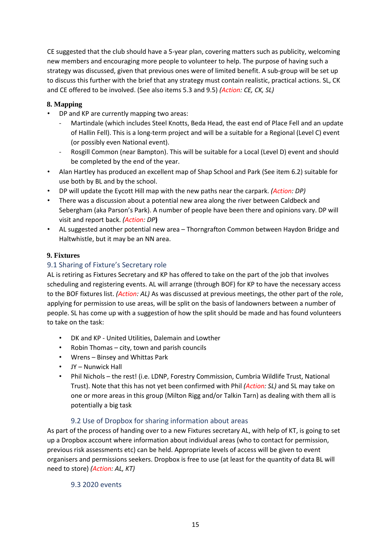CE suggested that the club should have a 5-year plan, covering matters such as publicity, welcoming new members and encouraging more people to volunteer to help. The purpose of having such a strategy was discussed, given that previous ones were of limited benefit. A sub-group will be set up to discuss this further with the brief that any strategy must contain realistic, practical actions. SL, CK and CE offered to be involved. (See also items 5.3 and 9.5) *(Action: CE, CK, SL)*

#### **8. Mapping**

- DP and KP are currently mapping two areas:
	- Martindale (which includes Steel Knotts, Beda Head, the east end of Place Fell and an update of Hallin Fell). This is a long-term project and will be a suitable for a Regional (Level C) event (or possibly even National event).
	- Rosgill Common (near Bampton). This will be suitable for a Local (Level D) event and should be completed by the end of the year.
- Alan Hartley has produced an excellent map of Shap School and Park (See item 6.2) suitable for use both by BL and by the school.
- DP will update the Eycott Hill map with the new paths near the carpark. *(Action: DP)*
- There was a discussion about a potential new area along the river between Caldbeck and Sebergham (aka Parson's Park). A number of people have been there and opinions vary. DP will visit and report back. *(Action: DP***)**
- AL suggested another potential new area Thorngrafton Common between Haydon Bridge and Haltwhistle, but it may be an NN area.

#### **9. Fixtures**

## 9.1 Sharing of Fixture's Secretary role

AL is retiring as Fixtures Secretary and KP has offered to take on the part of the job that involves scheduling and registering events. AL will arrange (through BOF) for KP to have the necessary access to the BOF fixtures list. *(Action: AL)* As was discussed at previous meetings, the other part of the role, applying for permission to use areas, will be split on the basis of landowners between a number of people. SL has come up with a suggestion of how the split should be made and has found volunteers to take on the task:

- DK and KP United Utilities, Dalemain and Lowther
- Robin Thomas city, town and parish councils
- Wrens Binsey and Whittas Park
- JY Nunwick Hall
- Phil Nichols the rest! (i.e. LDNP, Forestry Commission, Cumbria Wildlife Trust, National Trust). Note that this has not yet been confirmed with Phil *(Action: SL)* and SL may take on one or more areas in this group (Milton Rigg and/or Talkin Tarn) as dealing with them all is potentially a big task

## 9.2 Use of Dropbox for sharing information about areas

As part of the process of handing over to a new Fixtures secretary AL, with help of KT, is going to set up a Dropbox account where information about individual areas (who to contact for permission, previous risk assessments etc) can be held. Appropriate levels of access will be given to event organisers and permissions seekers. Dropbox is free to use (at least for the quantity of data BL will need to store) *(Action: AL, KT)*

#### 9.3 2020 events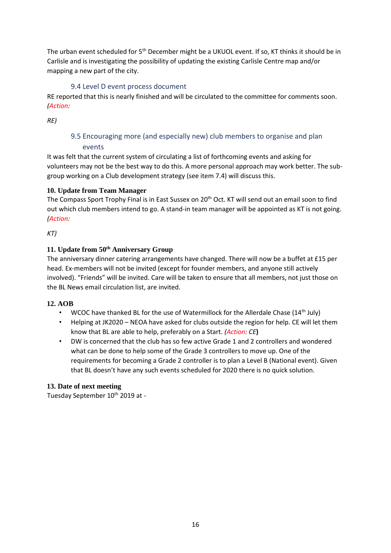The urban event scheduled for 5<sup>th</sup> December might be a UKUOL event. If so, KT thinks it should be in Carlisle and is investigating the possibility of updating the existing Carlisle Centre map and/or mapping a new part of the city.

## 9.4 Level D event process document

RE reported that this is nearly finished and will be circulated to the committee for comments soon. *(Action:* 

*RE)*

## 9.5 Encouraging more (and especially new) club members to organise and plan events

It was felt that the current system of circulating a list of forthcoming events and asking for volunteers may not be the best way to do this. A more personal approach may work better. The subgroup working on a Club development strategy (see item 7.4) will discuss this.

## **10. Update from Team Manager**

The Compass Sport Trophy Final is in East Sussex on 20<sup>th</sup> Oct. KT will send out an email soon to find out which club members intend to go. A stand-in team manager will be appointed as KT is not going. *(Action:* 

*KT)*

## **11. Update from 50th Anniversary Group**

The anniversary dinner catering arrangements have changed. There will now be a buffet at £15 per head. Ex-members will not be invited (except for founder members, and anyone still actively involved). "Friends" will be invited. Care will be taken to ensure that all members, not just those on the BL News email circulation list, are invited.

#### **12. AOB**

- WCOC have thanked BL for the use of Watermillock for the Allerdale Chase  $(14<sup>th</sup>$  July)
- Helping at JK2020 NEOA have asked for clubs outside the region for help. CE will let them know that BL are able to help, preferably on a Start. *(Action: CE***)**
- DW is concerned that the club has so few active Grade 1 and 2 controllers and wondered what can be done to help some of the Grade 3 controllers to move up. One of the requirements for becoming a Grade 2 controller is to plan a Level B (National event). Given that BL doesn't have any such events scheduled for 2020 there is no quick solution.

#### **13. Date of next meeting**

Tuesday September 10<sup>th</sup> 2019 at -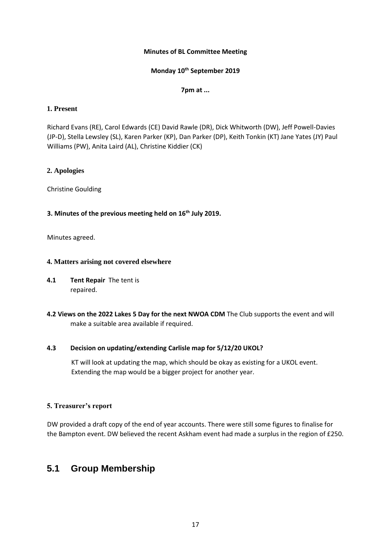#### **Minutes of BL Committee Meeting**

### **Monday 10th September 2019**

#### **7pm at ...**

#### **1. Present**

Richard Evans (RE), Carol Edwards (CE) David Rawle (DR), Dick Whitworth (DW), Jeff Powell-Davies (JP-D), Stella Lewsley (SL), Karen Parker (KP), Dan Parker (DP), Keith Tonkin (KT) Jane Yates (JY) Paul Williams (PW), Anita Laird (AL), Christine Kiddier (CK)

#### **2. Apologies**

Christine Goulding

#### **3. Minutes of the previous meeting held on 16th July 2019.**

Minutes agreed.

#### **4. Matters arising not covered elsewhere**

- **4.1 Tent Repair** The tent is repaired.
- **4.2 Views on the 2022 Lakes 5 Day for the next NWOA CDM** The Club supports the event and will make a suitable area available if required.

#### **4.3 Decision on updating/extending Carlisle map for 5/12/20 UKOL?**

KT will look at updating the map, which should be okay as existing for a UKOL event. Extending the map would be a bigger project for another year.

#### **5. Treasurer's report**

DW provided a draft copy of the end of year accounts. There were still some figures to finalise for the Bampton event. DW believed the recent Askham event had made a surplus in the region of £250.

## **5.1 Group Membership**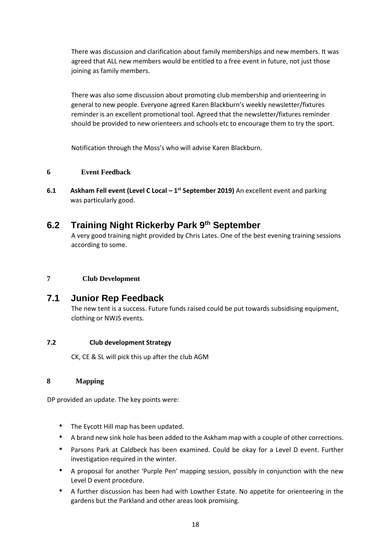There was discussion and clarification about family memberships and new members. It was agreed that ALL new members would be entitled to a free event in future, not just those joining as family members.

There was also some discussion about promoting club membership and orienteering in general to new people. Everyone agreed Karen Blackburn's weekly newsletter/fixtures reminder is an excellent promotional tool. Agreed that the newsletter/fixtures reminder should be provided to new orienteers and schools etc to encourage them to try the sport.

Notification through the Moss's who will advise Karen Blackburn.

## **6 Event Feedback**

**6.1** Askham Fell event (Level C Local – 1<sup>st</sup> September 2019) An excellent event and parking was particularly good.

## **6.2 Training Night Rickerby Park 9th September**

A very good training night provided by Chris Lates. One of the best evening training sessions according to some.

## **7 Club Development**

## **7.1 Junior Rep Feedback**

The new tent is a success. Future funds raised could be put towards subsidising equipment, clothing or NWJS events.

## **7.2 Club development Strategy**

CK, CE & SL will pick this up after the club AGM

#### **8 Mapping**

DP provided an update. The key points were:

- The Eycott Hill map has been updated.
- A brand new sink hole has been added to the Askham map with a couple of other corrections.
- Parsons Park at Caldbeck has been examined. Could be okay for a Level D event. Further investigation required in the winter.
- A proposal for another 'Purple Pen' mapping session, possibly in conjunction with the new Level D event procedure.
- A further discussion has been had with Lowther Estate. No appetite for orienteering in the gardens but the Parkland and other areas look promising.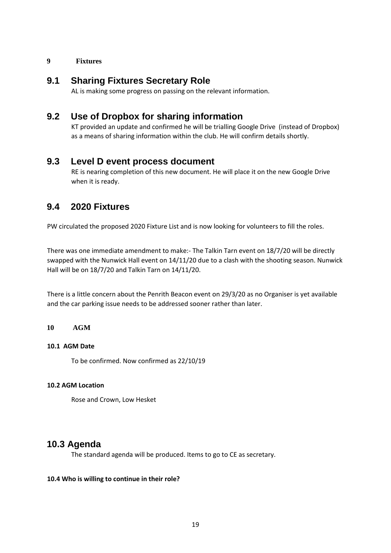#### **9 Fixtures**

## **9.1 Sharing Fixtures Secretary Role**

AL is making some progress on passing on the relevant information.

## **9.2 Use of Dropbox for sharing information**

KT provided an update and confirmed he will be trialling Google Drive (instead of Dropbox) as a means of sharing information within the club. He will confirm details shortly.

## **9.3 Level D event process document**

RE is nearing completion of this new document. He will place it on the new Google Drive when it is ready.

## **9.4 2020 Fixtures**

PW circulated the proposed 2020 Fixture List and is now looking for volunteers to fill the roles.

There was one immediate amendment to make:- The Talkin Tarn event on 18/7/20 will be directly swapped with the Nunwick Hall event on 14/11/20 due to a clash with the shooting season. Nunwick Hall will be on 18/7/20 and Talkin Tarn on 14/11/20.

There is a little concern about the Penrith Beacon event on 29/3/20 as no Organiser is yet available and the car parking issue needs to be addressed sooner rather than later.

#### **10 AGM**

#### **10.1 AGM Date**

To be confirmed. Now confirmed as 22/10/19

#### **10.2 AGM Location**

Rose and Crown, Low Hesket

## **10.3 Agenda**

The standard agenda will be produced. Items to go to CE as secretary.

#### **10.4 Who is willing to continue in their role?**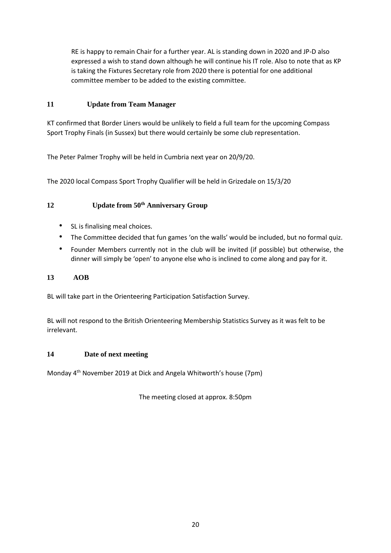RE is happy to remain Chair for a further year. AL is standing down in 2020 and JP-D also expressed a wish to stand down although he will continue his IT role. Also to note that as KP is taking the Fixtures Secretary role from 2020 there is potential for one additional committee member to be added to the existing committee.

## **11 Update from Team Manager**

KT confirmed that Border Liners would be unlikely to field a full team for the upcoming Compass Sport Trophy Finals (in Sussex) but there would certainly be some club representation.

The Peter Palmer Trophy will be held in Cumbria next year on 20/9/20.

The 2020 local Compass Sport Trophy Qualifier will be held in Grizedale on 15/3/20

## **12 Update from 50th Anniversary Group**

- SL is finalising meal choices.
- The Committee decided that fun games 'on the walls' would be included, but no formal quiz.
- Founder Members currently not in the club will be invited (if possible) but otherwise, the dinner will simply be 'open' to anyone else who is inclined to come along and pay for it.

#### **13 AOB**

BL will take part in the Orienteering Participation Satisfaction Survey.

BL will not respond to the British Orienteering Membership Statistics Survey as it was felt to be irrelevant.

#### **14 Date of next meeting**

Monday 4th November 2019 at Dick and Angela Whitworth's house (7pm)

The meeting closed at approx. 8:50pm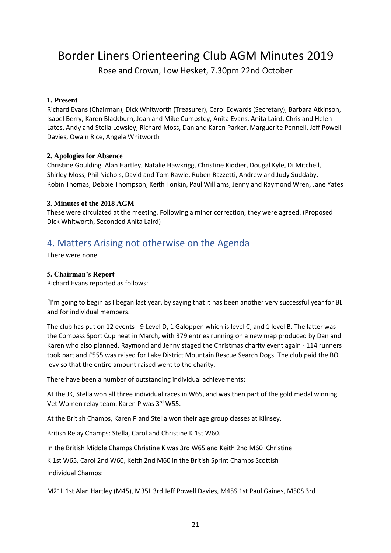Border Liners Orienteering Club AGM Minutes 2019

Rose and Crown, Low Hesket, 7.30pm 22nd October

#### **1. Present**

Richard Evans (Chairman), Dick Whitworth (Treasurer), Carol Edwards (Secretary), Barbara Atkinson, Isabel Berry, Karen Blackburn, Joan and Mike Cumpstey, Anita Evans, Anita Laird, Chris and Helen Lates, Andy and Stella Lewsley, Richard Moss, Dan and Karen Parker, Marguerite Pennell, Jeff Powell Davies, Owain Rice, Angela Whitworth

#### **2. Apologies for Absence**

Christine Goulding, Alan Hartley, Natalie Hawkrigg, Christine Kiddier, Dougal Kyle, Di Mitchell, Shirley Moss, Phil Nichols, David and Tom Rawle, Ruben Razzetti, Andrew and Judy Suddaby, Robin Thomas, Debbie Thompson, Keith Tonkin, Paul Williams, Jenny and Raymond Wren, Jane Yates

#### **3. Minutes of the 2018 AGM**

These were circulated at the meeting. Following a minor correction, they were agreed. (Proposed Dick Whitworth, Seconded Anita Laird)

## 4. Matters Arising not otherwise on the Agenda

There were none.

## **5. Chairman's Report**

Richard Evans reported as follows:

"I'm going to begin as I began last year, by saying that it has been another very successful year for BL and for individual members.

The club has put on 12 events - 9 Level D, 1 Galoppen which is level C, and 1 level B. The latter was the Compass Sport Cup heat in March, with 379 entries running on a new map produced by Dan and Karen who also planned. Raymond and Jenny staged the Christmas charity event again - 114 runners took part and £555 was raised for Lake District Mountain Rescue Search Dogs. The club paid the BO levy so that the entire amount raised went to the charity.

There have been a number of outstanding individual achievements:

At the JK, Stella won all three individual races in W65, and was then part of the gold medal winning Vet Women relay team. Karen P was 3rd W55.

At the British Champs, Karen P and Stella won their age group classes at Kilnsey.

British Relay Champs: Stella, Carol and Christine K 1st W60.

In the British Middle Champs Christine K was 3rd W65 and Keith 2nd M60 Christine

K 1st W65, Carol 2nd W60, Keith 2nd M60 in the British Sprint Champs Scottish

Individual Champs:

M21L 1st Alan Hartley (M45), M35L 3rd Jeff Powell Davies, M45S 1st Paul Gaines, M50S 3rd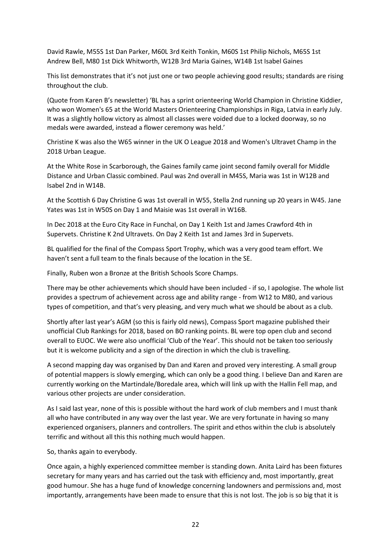David Rawle, M55S 1st Dan Parker, M60L 3rd Keith Tonkin, M60S 1st Philip Nichols, M65S 1st Andrew Bell, M80 1st Dick Whitworth, W12B 3rd Maria Gaines, W14B 1st Isabel Gaines

This list demonstrates that it's not just one or two people achieving good results; standards are rising throughout the club.

(Quote from Karen B's newsletter) 'BL has a sprint orienteering World Champion in Christine Kiddier, who won Women's 65 at the World Masters Orienteering Championships in Riga, Latvia in early July. It was a slightly hollow victory as almost all classes were voided due to a locked doorway, so no medals were awarded, instead a flower ceremony was held.'

Christine K was also the W65 winner in the UK O League 2018 and Women's Ultravet Champ in the 2018 Urban League.

At the White Rose in Scarborough, the Gaines family came joint second family overall for Middle Distance and Urban Classic combined. Paul was 2nd overall in M45S, Maria was 1st in W12B and Isabel 2nd in W14B.

At the Scottish 6 Day Christine G was 1st overall in W55, Stella 2nd running up 20 years in W45. Jane Yates was 1st in W50S on Day 1 and Maisie was 1st overall in W16B.

In Dec 2018 at the Euro City Race in Funchal, on Day 1 Keith 1st and James Crawford 4th in Supervets. Christine K 2nd Ultravets. On Day 2 Keith 1st and James 3rd in Supervets.

BL qualified for the final of the Compass Sport Trophy, which was a very good team effort. We haven't sent a full team to the finals because of the location in the SE.

Finally, Ruben won a Bronze at the British Schools Score Champs.

There may be other achievements which should have been included - if so, I apologise. The whole list provides a spectrum of achievement across age and ability range - from W12 to M80, and various types of competition, and that's very pleasing, and very much what we should be about as a club.

Shortly after last year's AGM (so this is fairly old news), Compass Sport magazine published their unofficial Club Rankings for 2018, based on BO ranking points. BL were top open club and second overall to EUOC. We were also unofficial 'Club of the Year'. This should not be taken too seriously but it is welcome publicity and a sign of the direction in which the club is travelling.

A second mapping day was organised by Dan and Karen and proved very interesting. A small group of potential mappers is slowly emerging, which can only be a good thing. I believe Dan and Karen are currently working on the Martindale/Boredale area, which will link up with the Hallin Fell map, and various other projects are under consideration.

As I said last year, none of this is possible without the hard work of club members and I must thank all who have contributed in any way over the last year. We are very fortunate in having so many experienced organisers, planners and controllers. The spirit and ethos within the club is absolutely terrific and without all this this nothing much would happen.

So, thanks again to everybody.

Once again, a highly experienced committee member is standing down. Anita Laird has been fixtures secretary for many years and has carried out the task with efficiency and, most importantly, great good humour. She has a huge fund of knowledge concerning landowners and permissions and, most importantly, arrangements have been made to ensure that this is not lost. The job is so big that it is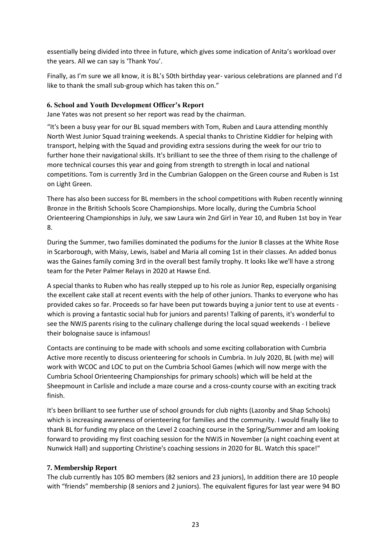essentially being divided into three in future, which gives some indication of Anita's workload over the years. All we can say is 'Thank You'.

Finally, as I'm sure we all know, it is BL's 50th birthday year- various celebrations are planned and I'd like to thank the small sub-group which has taken this on."

#### **6. School and Youth Development Officer's Report**

Jane Yates was not present so her report was read by the chairman.

"It's been a busy year for our BL squad members with Tom, Ruben and Laura attending monthly North West Junior Squad training weekends. A special thanks to Christine Kiddier for helping with transport, helping with the Squad and providing extra sessions during the week for our trio to further hone their navigational skills. It's brilliant to see the three of them rising to the challenge of more technical courses this year and going from strength to strength in local and national competitions. Tom is currently 3rd in the Cumbrian Galoppen on the Green course and Ruben is 1st on Light Green.

There has also been success for BL members in the school competitions with Ruben recently winning Bronze in the British Schools Score Championships. More locally, during the Cumbria School Orienteering Championships in July, we saw Laura win 2nd Girl in Year 10, and Ruben 1st boy in Year 8.

During the Summer, two families dominated the podiums for the Junior B classes at the White Rose in Scarborough, with Maisy, Lewis, Isabel and Maria all coming 1st in their classes. An added bonus was the Gaines family coming 3rd in the overall best family trophy. It looks like we'll have a strong team for the Peter Palmer Relays in 2020 at Hawse End.

A special thanks to Ruben who has really stepped up to his role as Junior Rep, especially organising the excellent cake stall at recent events with the help of other juniors. Thanks to everyone who has provided cakes so far. Proceeds so far have been put towards buying a junior tent to use at events which is proving a fantastic social hub for juniors and parents! Talking of parents, it's wonderful to see the NWJS parents rising to the culinary challenge during the local squad weekends - I believe their bolognaise sauce is infamous!

Contacts are continuing to be made with schools and some exciting collaboration with Cumbria Active more recently to discuss orienteering for schools in Cumbria. In July 2020, BL (with me) will work with WCOC and LOC to put on the Cumbria School Games (which will now merge with the Cumbria School Orienteering Championships for primary schools) which will be held at the Sheepmount in Carlisle and include a maze course and a cross-county course with an exciting track finish.

It's been brilliant to see further use of school grounds for club nights (Lazonby and Shap Schools) which is increasing awareness of orienteering for families and the community. I would finally like to thank BL for funding my place on the Level 2 coaching course in the Spring/Summer and am looking forward to providing my first coaching session for the NWJS in November (a night coaching event at Nunwick Hall) and supporting Christine's coaching sessions in 2020 for BL. Watch this space!"

## **7. Membership Report**

The club currently has 105 BO members (82 seniors and 23 juniors), In addition there are 10 people with "friends" membership (8 seniors and 2 juniors). The equivalent figures for last year were 94 BO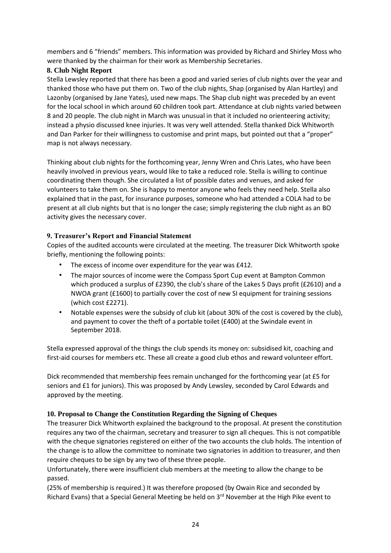members and 6 "friends" members. This information was provided by Richard and Shirley Moss who were thanked by the chairman for their work as Membership Secretaries.

## **8. Club Night Report**

Stella Lewsley reported that there has been a good and varied series of club nights over the year and thanked those who have put them on. Two of the club nights, Shap (organised by Alan Hartley) and Lazonby (organised by Jane Yates), used new maps. The Shap club night was preceded by an event for the local school in which around 60 children took part. Attendance at club nights varied between 8 and 20 people. The club night in March was unusual in that it included no orienteering activity; instead a physio discussed knee injuries. It was very well attended. Stella thanked Dick Whitworth and Dan Parker for their willingness to customise and print maps, but pointed out that a "proper" map is not always necessary.

Thinking about club nights for the forthcoming year, Jenny Wren and Chris Lates, who have been heavily involved in previous years, would like to take a reduced role. Stella is willing to continue coordinating them though. She circulated a list of possible dates and venues, and asked for volunteers to take them on. She is happy to mentor anyone who feels they need help. Stella also explained that in the past, for insurance purposes, someone who had attended a COLA had to be present at all club nights but that is no longer the case; simply registering the club night as an BO activity gives the necessary cover.

## **9. Treasurer's Report and Financial Statement**

Copies of the audited accounts were circulated at the meeting. The treasurer Dick Whitworth spoke briefly, mentioning the following points:

- The excess of income over expenditure for the year was £412.
- The major sources of income were the Compass Sport Cup event at Bampton Common which produced a surplus of £2390, the club's share of the Lakes 5 Days profit (£2610) and a NWOA grant (£1600) to partially cover the cost of new SI equipment for training sessions (which cost £2271).
- Notable expenses were the subsidy of club kit (about 30% of the cost is covered by the club), and payment to cover the theft of a portable toilet ( $£400$ ) at the Swindale event in September 2018.

Stella expressed approval of the things the club spends its money on: subsidised kit, coaching and first-aid courses for members etc. These all create a good club ethos and reward volunteer effort.

Dick recommended that membership fees remain unchanged for the forthcoming year (at £5 for seniors and £1 for juniors). This was proposed by Andy Lewsley, seconded by Carol Edwards and approved by the meeting.

#### **10. Proposal to Change the Constitution Regarding the Signing of Cheques**

The treasurer Dick Whitworth explained the background to the proposal. At present the constitution requires any two of the chairman, secretary and treasurer to sign all cheques. This is not compatible with the cheque signatories registered on either of the two accounts the club holds. The intention of the change is to allow the committee to nominate two signatories in addition to treasurer, and then require cheques to be sign by any two of these three people.

Unfortunately, there were insufficient club members at the meeting to allow the change to be passed.

(25% of membership is required.) It was therefore proposed (by Owain Rice and seconded by Richard Evans) that a Special General Meeting be held on  $3<sup>rd</sup>$  November at the High Pike event to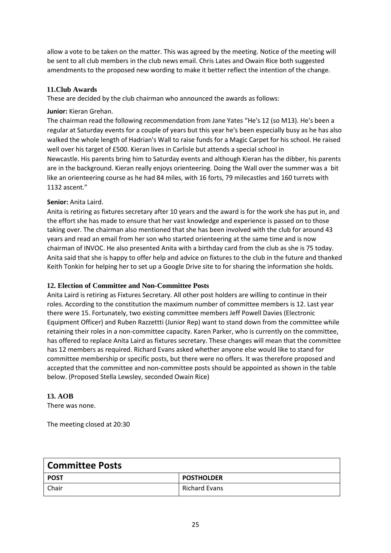allow a vote to be taken on the matter. This was agreed by the meeting. Notice of the meeting will be sent to all club members in the club news email. Chris Lates and Owain Rice both suggested amendments to the proposed new wording to make it better reflect the intention of the change.

## **11.Club Awards**

These are decided by the club chairman who announced the awards as follows:

#### **Junior:** Kieran Grehan.

The chairman read the following recommendation from Jane Yates "He's 12 (so M13). He's been a regular at Saturday events for a couple of years but this year he's been especially busy as he has also walked the whole length of Hadrian's Wall to raise funds for a Magic Carpet for his school. He raised well over his target of £500. Kieran lives in Carlisle but attends a special school in Newcastle. His parents bring him to Saturday events and although Kieran has the dibber, his parents are in the background. Kieran really enjoys orienteering. Doing the Wall over the summer was a bit like an orienteering course as he had 84 miles, with 16 forts, 79 milecastles and 160 turrets with 1132 ascent."

## **Senior:** Anita Laird.

Anita is retiring as fixtures secretary after 10 years and the award is for the work she has put in, and the effort she has made to ensure that her vast knowledge and experience is passed on to those taking over. The chairman also mentioned that she has been involved with the club for around 43 years and read an email from her son who started orienteering at the same time and is now chairman of INVOC. He also presented Anita with a birthday card from the club as she is 75 today. Anita said that she is happy to offer help and advice on fixtures to the club in the future and thanked Keith Tonkin for helping her to set up a Google Drive site to for sharing the information she holds.

#### **12. Election of Committee and Non-Committee Posts**

Anita Laird is retiring as Fixtures Secretary. All other post holders are willing to continue in their roles. According to the constitution the maximum number of committee members is 12. Last year there were 15. Fortunately, two existing committee members Jeff Powell Davies (Electronic Equipment Officer) and Ruben Razzettti (Junior Rep) want to stand down from the committee while retaining their roles in a non-committee capacity. Karen Parker, who is currently on the committee, has offered to replace Anita Laird as fixtures secretary. These changes will mean that the committee has 12 members as required. Richard Evans asked whether anyone else would like to stand for committee membership or specific posts, but there were no offers. It was therefore proposed and accepted that the committee and non-committee posts should be appointed as shown in the table below. (Proposed Stella Lewsley, seconded Owain Rice)

#### **13. AOB**

There was none.

The meeting closed at 20:30

| <b>Committee Posts</b> |                   |  |  |  |
|------------------------|-------------------|--|--|--|
| <b>POST</b>            | <b>POSTHOLDER</b> |  |  |  |
| Chair                  | Richard Evans     |  |  |  |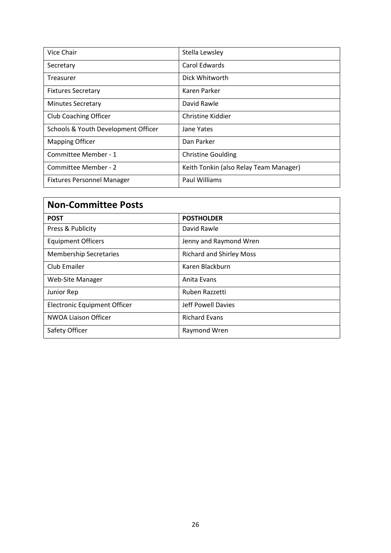| Vice Chair                          | Stella Lewsley                         |
|-------------------------------------|----------------------------------------|
| Secretary                           | Carol Edwards                          |
| Treasurer                           | Dick Whitworth                         |
| <b>Fixtures Secretary</b>           | Karen Parker                           |
| <b>Minutes Secretary</b>            | David Rawle                            |
| <b>Club Coaching Officer</b>        | Christine Kiddier                      |
| Schools & Youth Development Officer | Jane Yates                             |
| <b>Mapping Officer</b>              | Dan Parker                             |
| Committee Member - 1                | <b>Christine Goulding</b>              |
| Committee Member - 2                | Keith Tonkin (also Relay Team Manager) |
| <b>Fixtures Personnel Manager</b>   | Paul Williams                          |

| <b>Non-Committee Posts</b>          |                                 |  |  |  |
|-------------------------------------|---------------------------------|--|--|--|
| <b>POST</b>                         | <b>POSTHOLDER</b>               |  |  |  |
| Press & Publicity                   | David Rawle                     |  |  |  |
| <b>Equipment Officers</b>           | Jenny and Raymond Wren          |  |  |  |
| <b>Membership Secretaries</b>       | <b>Richard and Shirley Moss</b> |  |  |  |
| Club Emailer                        | Karen Blackburn                 |  |  |  |
| <b>Web-Site Manager</b>             | Anita Evans                     |  |  |  |
| Junior Rep                          | Ruben Razzetti                  |  |  |  |
| <b>Electronic Equipment Officer</b> | Jeff Powell Davies              |  |  |  |
| <b>NWOA Liaison Officer</b>         | <b>Richard Evans</b>            |  |  |  |
| Safety Officer                      | Raymond Wren                    |  |  |  |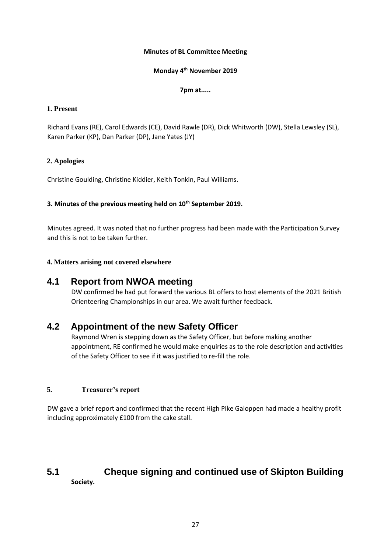#### **Minutes of BL Committee Meeting**

#### **Monday 4th November 2019**

#### **7pm at.....**

#### **1. Present**

Richard Evans (RE), Carol Edwards (CE), David Rawle (DR), Dick Whitworth (DW), Stella Lewsley (SL), Karen Parker (KP), Dan Parker (DP), Jane Yates (JY)

## **2. Apologies**

Christine Goulding, Christine Kiddier, Keith Tonkin, Paul Williams.

## **3. Minutes of the previous meeting held on 10th September 2019.**

Minutes agreed. It was noted that no further progress had been made with the Participation Survey and this is not to be taken further.

## **4. Matters arising not covered elsewhere**

## **4.1 Report from NWOA meeting**

DW confirmed he had put forward the various BL offers to host elements of the 2021 British Orienteering Championships in our area. We await further feedback.

## **4.2 Appointment of the new Safety Officer**

Raymond Wren is stepping down as the Safety Officer, but before making another appointment, RE confirmed he would make enquiries as to the role description and activities of the Safety Officer to see if it was justified to re-fill the role.

## **5. Treasurer's report**

DW gave a brief report and confirmed that the recent High Pike Galoppen had made a healthy profit including approximately £100 from the cake stall.

## **5.1 Cheque signing and continued use of Skipton Building Society.**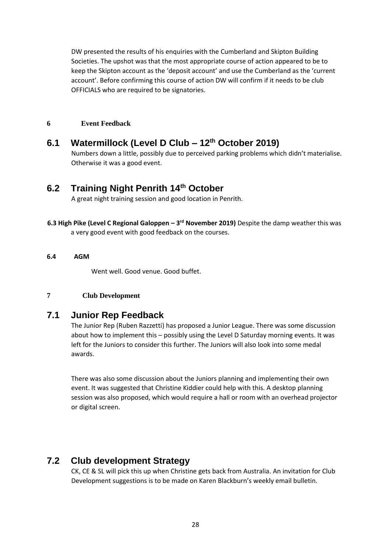DW presented the results of his enquiries with the Cumberland and Skipton Building Societies. The upshot was that the most appropriate course of action appeared to be to keep the Skipton account as the 'deposit account' and use the Cumberland as the 'current account'. Before confirming this course of action DW will confirm if it needs to be club OFFICIALS who are required to be signatories.

#### **6 Event Feedback**

**6.1 Watermillock (Level D Club – 12th October 2019)**  Numbers down a little, possibly due to perceived parking problems which didn't materialise. Otherwise it was a good event.

## **6.2 Training Night Penrith 14th October**

A great night training session and good location in Penrith.

**6.3 High Pike (Level C Regional Galoppen - 3<sup>rd</sup> November 2019) Despite the damp weather this was** a very good event with good feedback on the courses.

#### **6.4 AGM**

Went well. Good venue. Good buffet.

#### **7 Club Development**

## **7.1 Junior Rep Feedback**

The Junior Rep (Ruben Razzetti) has proposed a Junior League. There was some discussion about how to implement this – possibly using the Level D Saturday morning events. It was left for the Juniors to consider this further. The Juniors will also look into some medal awards.

There was also some discussion about the Juniors planning and implementing their own event. It was suggested that Christine Kiddier could help with this. A desktop planning session was also proposed, which would require a hall or room with an overhead projector or digital screen.

## **7.2 Club development Strategy**

CK, CE & SL will pick this up when Christine gets back from Australia. An invitation for Club Development suggestions is to be made on Karen Blackburn's weekly email bulletin.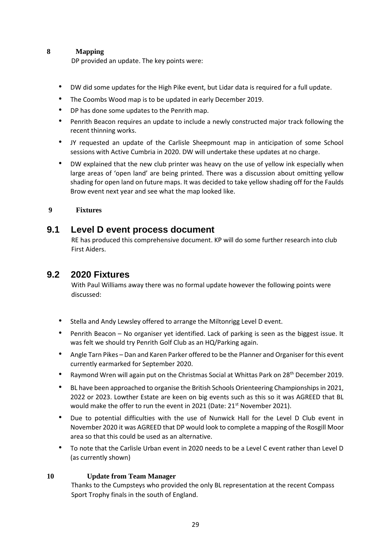#### **8 Mapping**

DP provided an update. The key points were:

- DW did some updates for the High Pike event, but Lidar data is required for a full update.
- The Coombs Wood map is to be updated in early December 2019.
- DP has done some updates to the Penrith map.
- Penrith Beacon requires an update to include a newly constructed major track following the recent thinning works.
- JY requested an update of the Carlisle Sheepmount map in anticipation of some School sessions with Active Cumbria in 2020. DW will undertake these updates at no charge.
- DW explained that the new club printer was heavy on the use of yellow ink especially when large areas of 'open land' are being printed. There was a discussion about omitting yellow shading for open land on future maps. It was decided to take yellow shading off for the Faulds Brow event next year and see what the map looked like.

## **9 Fixtures**

## **9.1 Level D event process document**

RE has produced this comprehensive document. KP will do some further research into club First Aiders.

## **9.2 2020 Fixtures**

With Paul Williams away there was no formal update however the following points were discussed:

- Stella and Andy Lewsley offered to arrange the Miltonrigg Level D event.
- Penrith Beacon No organiser yet identified. Lack of parking is seen as the biggest issue. It was felt we should try Penrith Golf Club as an HQ/Parking again.
- Angle Tarn Pikes Dan and Karen Parker offered to be the Planner and Organiser for this event currently earmarked for September 2020.
- Raymond Wren will again put on the Christmas Social at Whittas Park on 28<sup>th</sup> December 2019.
- BL have been approached to organise the British Schools Orienteering Championships in 2021, 2022 or 2023. Lowther Estate are keen on big events such as this so it was AGREED that BL would make the offer to run the event in 2021 (Date: 21<sup>st</sup> November 2021).
- Due to potential difficulties with the use of Nunwick Hall for the Level D Club event in November 2020 it was AGREED that DP would look to complete a mapping of the Rosgill Moor area so that this could be used as an alternative.
- To note that the Carlisle Urban event in 2020 needs to be a Level C event rather than Level D (as currently shown)

#### **10 Update from Team Manager**

Thanks to the Cumpsteys who provided the only BL representation at the recent Compass Sport Trophy finals in the south of England.